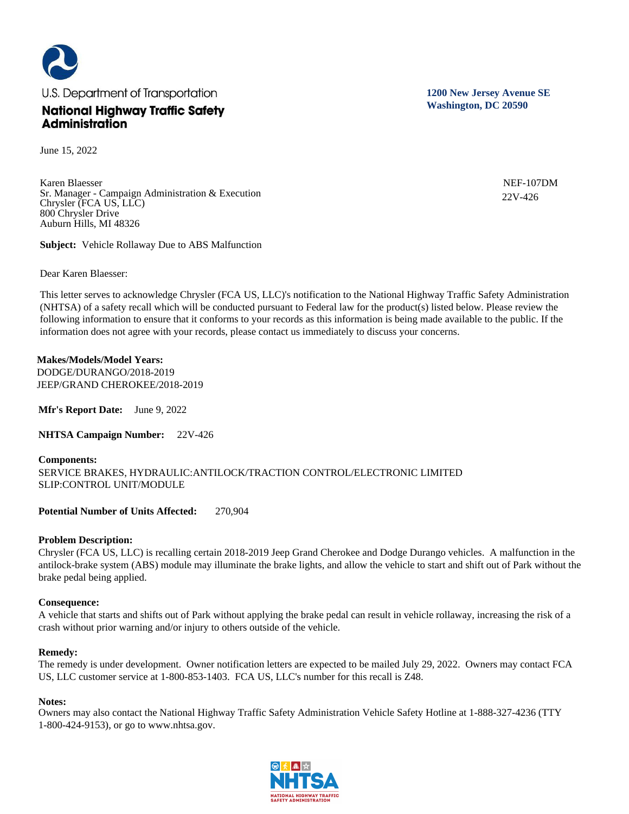

June 15, 2022

Karen Blaesser Sr. Manager - Campaign Administration & Execution Chrysler (FCA US, LLC) 800 Chrysler Drive Auburn Hills, MI 48326

**Subject:** Vehicle Rollaway Due to ABS Malfunction

Dear Karen Blaesser:

This letter serves to acknowledge Chrysler (FCA US, LLC)'s notification to the National Highway Traffic Safety Administration (NHTSA) of a safety recall which will be conducted pursuant to Federal law for the product(s) listed below. Please review the following information to ensure that it conforms to your records as this information is being made available to the public. If the information does not agree with your records, please contact us immediately to discuss your concerns.

### **Makes/Models/Model Years:**

DODGE/DURANGO/2018-2019 JEEP/GRAND CHEROKEE/2018-2019

**Mfr's Report Date:** June 9, 2022

**NHTSA Campaign Number:** 22V-426

# **Components:**  SERVICE BRAKES, HYDRAULIC:ANTILOCK/TRACTION CONTROL/ELECTRONIC LIMITED SLIP:CONTROL UNIT/MODULE

**Potential Number of Units Affected:** 270,904

# **Problem Description:**

Chrysler (FCA US, LLC) is recalling certain 2018-2019 Jeep Grand Cherokee and Dodge Durango vehicles. A malfunction in the antilock-brake system (ABS) module may illuminate the brake lights, and allow the vehicle to start and shift out of Park without the brake pedal being applied.

#### **Consequence:**

A vehicle that starts and shifts out of Park without applying the brake pedal can result in vehicle rollaway, increasing the risk of a crash without prior warning and/or injury to others outside of the vehicle.

#### **Remedy:**

The remedy is under development. Owner notification letters are expected to be mailed July 29, 2022. Owners may contact FCA US, LLC customer service at 1-800-853-1403. FCA US, LLC's number for this recall is Z48.

#### **Notes:**

Owners may also contact the National Highway Traffic Safety Administration Vehicle Safety Hotline at 1-888-327-4236 (TTY 1-800-424-9153), or go to www.nhtsa.gov.

**1200 New Jersey Avenue SE Washington, DC 20590**

> NEF-107DM 22V-426